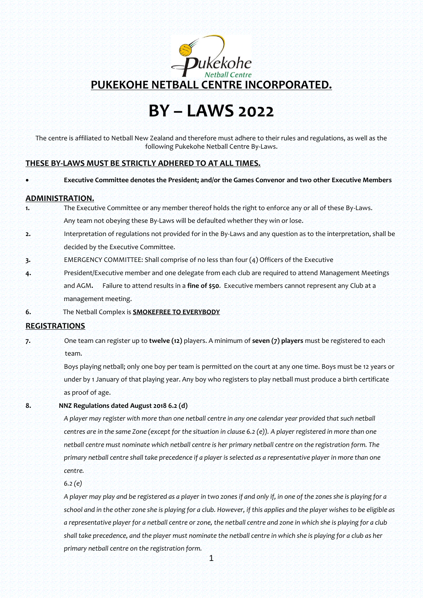

# **BY – LAWS 2022**

The centre is affiliated to Netball New Zealand and therefore must adhere to their rules and regulations, as well as the following Pukekohe Netball Centre By-Laws.

### **THESE BY-LAWS MUST BE STRICTLY ADHERED TO AT ALL TIMES.**

```
 Executive Committee denotes the President; and/or the Games Convenor and two other Executive Members
```
#### **ADMINISTRATION.**

- **1.** The Executive Committee or any member thereof holds the right to enforce any or all of these By-Laws. Any team not obeying these By-Laws will be defaulted whether they win or lose.
- **2.** Interpretation of regulations not provided for in the By-Laws and any question as to the interpretation, shall be decided by the Executive Committee.
- **3.** EMERGENCY COMMITTEE: Shall comprise of no less than four (4) Officers of the Executive
- **4.** President/Executive member and one delegate from each club are required to attend Management Meetings and AGM**.** Failure to attend results in a **fine of \$50**. Executive members cannot represent any Club at a management meeting.
- **6.** The Netball Complex is **SMOKEFREE TO EVERYBODY**

## **REGISTRATIONS**

**7.** One team can register up to **twelve (12)** players. A minimum of **seven (7) players** must be registered to each team.

> Boys playing netball; only one boy per team is permitted on the court at any one time. Boys must be 12 years or under by 1 January of that playing year. Any boy who registers to play netball must produce a birth certificate as proof of age.

#### **8. NNZ Regulations dated August 2018 6.2 (d)**

*A player may register with more than one netball centre in any one calendar year provided that such netball centres are in the same Zone (except for the situation in clause 6.2 (e)). A player registered in more than one netball centre must nominate which netball centre is her primary netball centre on the registration form. The primary netball centre shall take precedence if a player is selected as a representative player in more than one centre.* 

*6.2 (e)* 

*A player may play and be registered as a player in two zones if and only if, in one of the zones she is playing for a school and in the other zone she is playing for a club. However, if this applies and the player wishes to be eligible as a representative player for a netball centre or zone, the netball centre and zone in which she is playing for a club shall take precedence, and the player must nominate the netball centre in which she is playing for a club as her primary netball centre on the registration form.*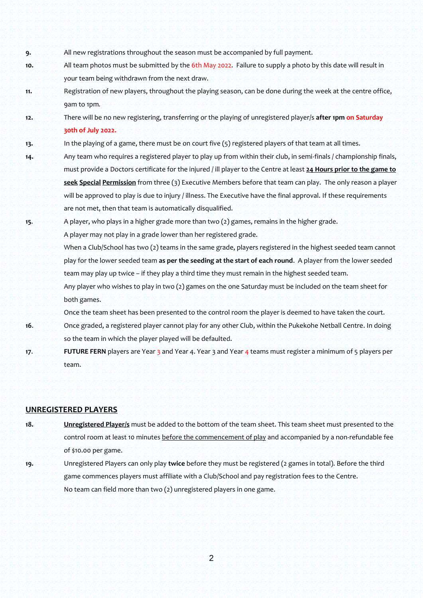- **9.** All new registrations throughout the season must be accompanied by full payment.
- **10.** All team photos must be submitted by the 6th May 2022. Failure to supply a photo by this date will result in your team being withdrawn from the next draw.
- **11.** Registration of new players, throughout the playing season, can be done during the week at the centre office, 9am to 1pm*.*
- **12.** There will be no new registering, transferring or the playing of unregistered player/s **after 1pm on Saturday 30th of July 2022.**
- **13.** In the playing of a game, there must be on court five (5) registered players of that team at all times.
- **14.** Any team who requires a registered player to play up from within their club, in semi-finals / championship finals, must provide a Doctors certificate for the injured / ill player to the Centre at least **24 Hours prior to the game to seek Special Permission** from three (3) Executive Members before that team can play. The only reason a player will be approved to play is due to injury / illness. The Executive have the final approval. If these requirements are not met, then that team is automatically disqualified.
- **15**. A player, who plays in a higher grade more than two (2) games, remains in the higher grade. A player may not play in a grade lower than her registered grade. When a Club/School has two (2) teams in the same grade, players registered in the highest seeded team cannot play for the lower seeded team **as per the seeding at the start of each round**. A player from the lower seeded team may play up twice – if they play a third time they must remain in the highest seeded team. Any player who wishes to play in two (2) games on the one Saturday must be included on the team sheet for both games. Once the team sheet has been presented to the control room the player is deemed to have taken the court.
- **16**. Once graded, a registered player cannot play for any other Club, within the Pukekohe Netball Centre. In doing so the team in which the player played will be defaulted.
- **17. FUTURE FERN** players are Year 3 and Year 4. Year 3 and Year 4 teams must register a minimum of 5 players per team.

### **UNREGISTERED PLAYERS**

- **18. Unregistered Player/s** must be added to the bottom of the team sheet. This team sheet must presented to the control room at least 10 minutes before the commencement of play and accompanied by a non-refundable fee of \$10.00 per game.
- **19.** Unregistered Players can only play **twice** before they must be registered (2 games in total). Before the third game commences players must affiliate with a Club/School and pay registration fees to the Centre. No team can field more than two (2) unregistered players in one game.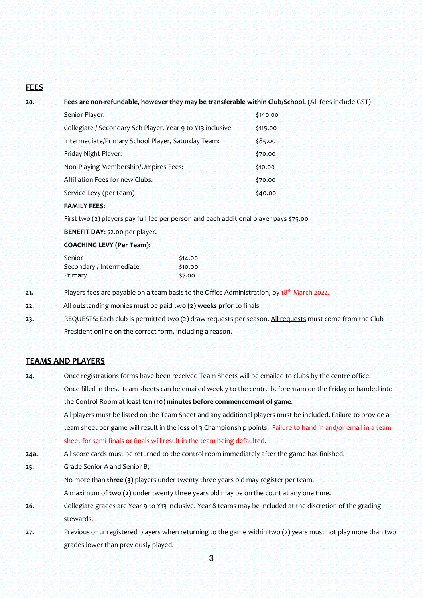# **FEES**

**20. Fees are non-refundable, however they may be transferable within Club/School.** (All fees include GST)

| Senior Player:                                             | \$140.00 |
|------------------------------------------------------------|----------|
| Collegiate / Secondary Sch Player, Year 9 to Y13 inclusive | \$115.00 |
| Intermediate/Primary School Player, Saturday Team:         | \$85.00  |
| Friday Night Player:                                       | \$70.00  |
| Non-Playing Membership/Umpires Fees:                       | \$10.00  |
| Affiliation Fees for new Clubs:                            | \$70.00  |
| Service Levy (per team)                                    | \$40.00  |
|                                                            |          |

# **FAMILY FEES**:

First two (2) players pay full fee per person and each additional player pays \$75.00

**BENEFIT DAY**: \$2.00 per player.

#### **COACHING LEVY (Per Team):**

| Senior                   | \$14.00 |
|--------------------------|---------|
| Secondary / Intermediate | \$10.00 |
| Primary                  | \$7.00  |

- **21.** Players fees are payable on a team basis to the Office Administration, by 18<sup>th</sup> March 2022.
- **22.** All outstanding monies must be paid two **(2) weeks prior** to finals.
- **23.** REQUESTS: Each club is permitted two (2) draw requests per season. All requests must come from the Club President online on the correct form, including a reason.

## **TEAMS AND PLAYERS**

**24.** Once registrations forms have been received Team Sheets will be emailed to clubs by the centre office. Once filled in these team sheets can be emailed weekly to the centre before 11am on the Friday or handed into the Control Room at least ten (10) **minutes before commencement of game**. All players must be listed on the Team Sheet and any additional players must be included. Failure to provide a team sheet per game will result in the loss of 3 Championship points. Failure to hand in and/or email in a team sheet for semi-finals or finals will result in the team being defaulted. **24a.** All score cards must be returned to the control room immediately after the game has finished. **25.** Grade Senior A and Senior B; No more than **three (3)** players under twenty three years old may register per team. A maximum of **two (2)** under twenty three years old may be on the court at any one time. **26.** Collegiate grades are Year 9 to Y13 inclusive. Year 8 teams may be included at the discretion of the grading stewards. **27.** Previous or unregistered players when returning to the game within two (2) years must not play more than two grades lower than previously played.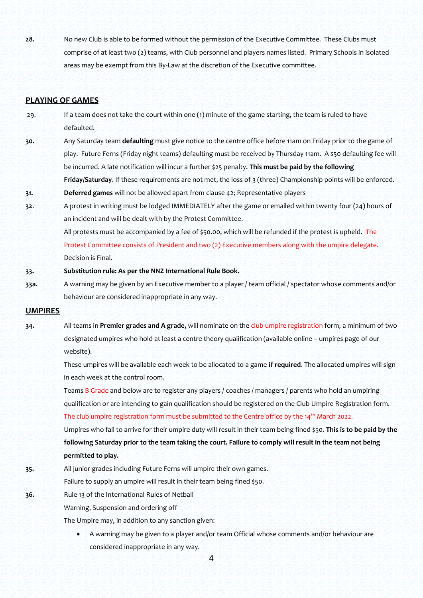**28.** No new Club is able to be formed without the permission of the Executive Committee. These Clubs must comprise of at least two (2) teams, with Club personnel and players names listed. Primary Schools in isolated areas may be exempt from this By-Law at the discretion of the Executive committee.

## **PLAYING OF GAMES**

29. If a team does not take the court within one (1) minute of the game starting, the team is ruled to have defaulted.

**31. Deferred games** will not be allowed apart from clause 42; Representative players

- **30.** Any Saturday team **defaulting** must give notice to the centre office before 11am on Friday prior to the game of play. Future Ferns (Friday night teams) defaulting must be received by Thursday 11am. A \$50 defaulting fee will be incurred. A late notification will incur a further \$25 penalty. **This must be paid by the following Friday/Saturday**. If these requirements are not met, the loss of 3 (three) Championship points will be enforced.
- **32**. A protest in writing must be lodged IMMEDIATELY after the game or emailed within twenty four (24) hours of an incident and will be dealt with by the Protest Committee.

All protests must be accompanied by a fee of \$50.00, which will be refunded if the protest is upheld. The Protest Committee consists of President and two (2) Executive members along with the umpire delegate. Decision is Final.

- **33. Substitution rule: As per the NNZ International Rule Book.**
- **33a.** A warning may be given by an Executive member to a player / team official / spectator whose comments and/or behaviour are considered inappropriate in any way.

## **UMPIRES**

**34.** All teams in **Premier grades and A grade,** will nominate on the club umpire registration form, a minimum of two designated umpires who hold at least a centre theory qualification (available online – umpires page of our website).

> These umpires will be available each week to be allocated to a game **if required**. The allocated umpires will sign in each week at the control room.

Teams B Grade and below are to register any players / coaches / managers / parents who hold an umpiring qualification or are intending to gain qualification should be registered on the Club Umpire Registration form.

The club umpire registration form must be submitted to the Centre office by the 14<sup>th</sup> March 2022.

Umpires who fail to arrive for their umpire duty will result in their team being fined \$50. **This is to be paid by the following Saturday prior to the team taking the court. Failure to comply will result in the team not being permitted to play.**

- **35.** All junior grades including Future Ferns will umpire their own games.
	- Failure to supply an umpire will result in their team being fined \$50.
- **36.** Rule 13 of the International Rules of Netball

Warning, Suspension and ordering off

The Umpire may, in addition to any sanction given:

 A warning may be given to a player and/or team Official whose comments and/or behaviour are considered inappropriate in any way.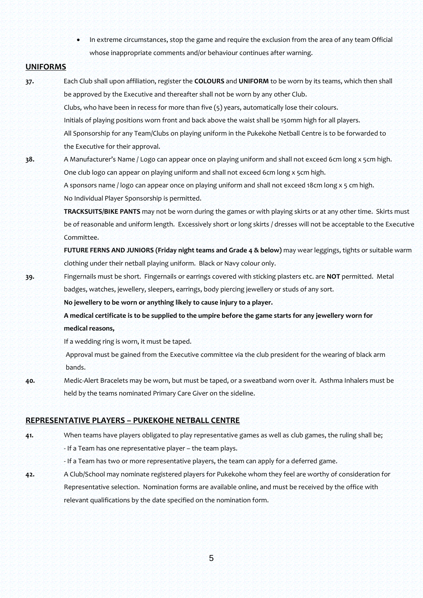In extreme circumstances, stop the game and require the exclusion from the area of any team Official whose inappropriate comments and/or behaviour continues after warning.

## **UNIFORMS**

**37.** Each Club shall upon affiliation, register the **COLOURS** and **UNIFORM** to be worn by its teams, which then shall be approved by the Executive and thereafter shall not be worn by any other Club. Clubs, who have been in recess for more than five (5) years, automatically lose their colours. Initials of playing positions worn front and back above the waist shall be 150mm high for all players. All Sponsorship for any Team/Clubs on playing uniform in the Pukekohe Netball Centre is to be forwarded to the Executive for their approval.

**38.** A Manufacturer's Name / Logo can appear once on playing uniform and shall not exceed 6cm long x 5cm high. One club logo can appear on playing uniform and shall not exceed 6cm long x 5cm high. A sponsors name / logo can appear once on playing uniform and shall not exceed 18cm long x 5 cm high.

No Individual Player Sponsorship is permitted.

**TRACKSUITS/BIKE PANTS** may not be worn during the games or with playing skirts or at any other time. Skirts must be of reasonable and uniform length. Excessively short or long skirts / dresses will not be acceptable to the Executive Committee.

**FUTURE FERNS AND JUNIORS (Friday night teams and Grade 4 & below)** may wear leggings, tights or suitable warm clothing under their netball playing uniform. Black or Navy colour only.

**39.** Fingernails must be short. Fingernails or earrings covered with sticking plasters etc. are **NOT** permitted. Metal badges, watches, jewellery, sleepers, earrings, body piercing jewellery or studs of any sort.

**No jewellery to be worn or anything likely to cause injury to a player.**

**A medical certificate is to be supplied to the umpire before the game starts for any jewellery worn for medical reasons,**

If a wedding ring is worn, it must be taped.

Approval must be gained from the Executive committee via the club president for the wearing of black arm bands.

**40.** Medic-Alert Bracelets may be worn, but must be taped, or a sweatband worn over it. Asthma Inhalers must be held by the teams nominated Primary Care Giver on the sideline.

# **REPRESENTATIVE PLAYERS – PUKEKOHE NETBALL CENTRE**

**41.** When teams have players obligated to play representative games as well as club games, the ruling shall be;

- If a Team has one representative player – the team plays.

- If a Team has two or more representative players, the team can apply for a deferred game.
- **42.** A Club/School may nominate registered players for Pukekohe whom they feel are worthy of consideration for Representative selection. Nomination forms are available online, and must be received by the office with relevant qualifications by the date specified on the nomination form.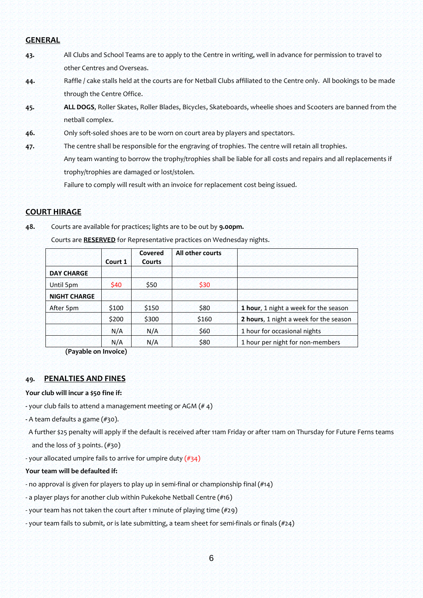## **GENERAL**

- **43.** All Clubs and School Teams are to apply to the Centre in writing, well in advance for permission to travel to other Centres and Overseas.
- **44.** Raffle / cake stalls held at the courts are for Netball Clubs affiliated to the Centre only. All bookings to be made through the Centre Office.
- **45. ALL DOGS**, Roller Skates, Roller Blades, Bicycles, Skateboards, wheelie shoes and Scooters are banned from the netball complex.
- **46.** Only soft-soled shoes are to be worn on court area by players and spectators.
- **47.** The centre shall be responsible for the engraving of trophies. The centre will retain all trophies. Any team wanting to borrow the trophy/trophies shall be liable for all costs and repairs and all replacements if trophy/trophies are damaged or lost/stolen.

Failure to comply will result with an invoice for replacement cost being issued.

# **COURT HIRAGE**

**48.** Courts are available for practices; lights are to be out by **9.00pm.**

|                     | Court 1 | Covered<br><b>Courts</b> | All other courts |                                        |
|---------------------|---------|--------------------------|------------------|----------------------------------------|
| <b>DAY CHARGE</b>   |         |                          |                  |                                        |
| Until 5pm           | \$40    | \$50                     | \$30             |                                        |
| <b>NIGHT CHARGE</b> |         |                          |                  |                                        |
| After 5pm           | \$100   | \$150                    | \$80             | 1 hour, 1 night a week for the season  |
|                     | \$200   | \$300                    | \$160            | 2 hours, 1 night a week for the season |
|                     | N/A     | N/A                      | \$60             | 1 hour for occasional nights           |
|                     | N/A     | N/A                      | \$80             | 1 hour per night for non-members       |

Courts are **RESERVED** for Representative practices on Wednesday nights.

**(Payable on Invoice)**

# **49. PENALTIES AND FINES**

### **Your club will incur a \$50 fine if:**

- **-** your club fails to attend a management meeting or AGM (# 4)
- **-** A team defaults a game (#30).
- A further \$25 penalty will apply if the default is received after 11am Friday or after 11am on Thursday for Future Ferns teams and the loss of 3 points. (#30)
- your allocated umpire fails to arrive for umpire duty  $(\#34)$

#### **Your team will be defaulted if:**

- no approval is given for players to play up in semi-final or championship final (#14)
- a player plays for another club within Pukekohe Netball Centre (#16)
- your team has not taken the court after 1 minute of playing time (#29)
- your team fails to submit, or is late submitting, a team sheet for semi-finals or finals (#24)